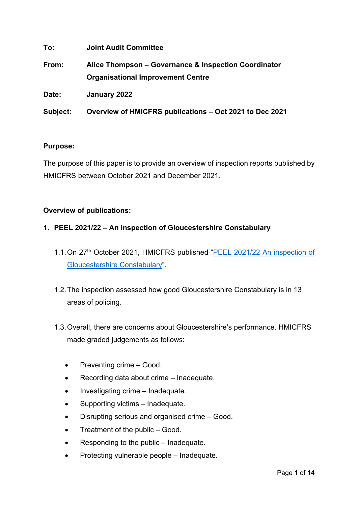| To:      | <b>Joint Audit Committee</b>                                                                     |
|----------|--------------------------------------------------------------------------------------------------|
| From:    | Alice Thompson – Governance & Inspection Coordinator<br><b>Organisational Improvement Centre</b> |
| Date:    | January 2022                                                                                     |
| Subject: | Overview of HMICFRS publications - Oct 2021 to Dec 2021                                          |

## **Purpose:**

The purpose of this paper is to provide an overview of inspection reports published by HMICFRS between October 2021 and December 2021.

# **Overview of publications:**

## **1. PEEL 2021/22 – An inspection of Gloucestershire Constabulary**

- 1.1. On 27<sup>th</sup> October 2021, HMICFRS published "PEEL 2021/22 An inspection of [Gloucestershire Constabulary"](https://www.justiceinspectorates.gov.uk/hmicfrs/wp-content/uploads/peel-assessment-2021-22-gloucestershire.pdf).
- 1.2.The inspection assessed how good Gloucestershire Constabulary is in 13 areas of policing.
- 1.3.Overall, there are concerns about Gloucestershire's performance. HMICFRS made graded judgements as follows:
	- Preventing crime Good.
	- Recording data about crime Inadequate.
	- Investigating crime Inadequate.
	- Supporting victims Inadequate.
	- Disrupting serious and organised crime Good.
	- Treatment of the public Good.
	- Responding to the public Inadequate.
	- Protecting vulnerable people Inadequate.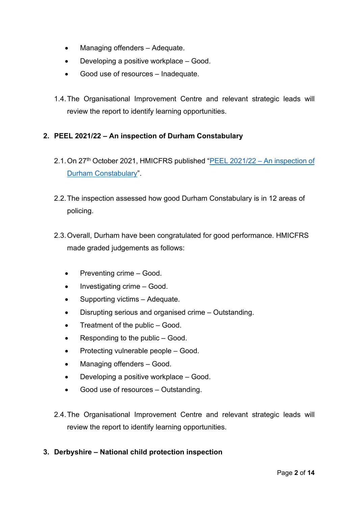- Managing offenders Adequate.
- Developing a positive workplace Good.
- Good use of resources Inadequate.
- 1.4.The Organisational Improvement Centre and relevant strategic leads will review the report to identify learning opportunities.

## **2. PEEL 2021/22 – An inspection of Durham Constabulary**

- 2.1. On 27<sup>th</sup> October 2021, HMICFRS published ["PEEL 2021/22 –](https://www.justiceinspectorates.gov.uk/hmicfrs/wp-content/uploads/peel-assessment-2021-22-durham.pdf) An inspection of [Durham Constabulary"](https://www.justiceinspectorates.gov.uk/hmicfrs/wp-content/uploads/peel-assessment-2021-22-durham.pdf).
- 2.2.The inspection assessed how good Durham Constabulary is in 12 areas of policing.
- 2.3.Overall, Durham have been congratulated for good performance. HMICFRS made graded judgements as follows:
	- Preventing crime Good.
	- Investigating crime Good.
	- Supporting victims Adequate.
	- Disrupting serious and organised crime Outstanding.
	- Treatment of the public Good.
	- Responding to the public Good.
	- Protecting vulnerable people Good.
	- Managing offenders Good.
	- Developing a positive workplace Good.
	- Good use of resources Outstanding.
- 2.4.The Organisational Improvement Centre and relevant strategic leads will review the report to identify learning opportunities.

## **3. Derbyshire – National child protection inspection**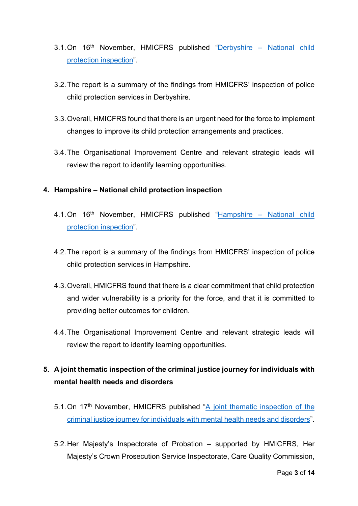- 3.1.On 16th November, HMICFRS published "Derbyshire [National child](https://www.justiceinspectorates.gov.uk/hmicfrs/wp-content/uploads/derbyshire-national-child-protection-inspection.pdf)  [protection inspection"](https://www.justiceinspectorates.gov.uk/hmicfrs/wp-content/uploads/derbyshire-national-child-protection-inspection.pdf).
- 3.2.The report is a summary of the findings from HMICFRS' inspection of police child protection services in Derbyshire.
- 3.3.Overall, HMICFRS found that there is an urgent need for the force to implement changes to improve its child protection arrangements and practices.
- 3.4.The Organisational Improvement Centre and relevant strategic leads will review the report to identify learning opportunities.

#### **4. Hampshire – National child protection inspection**

- 4.1. On 16<sup>th</sup> November, HMICFRS published "Hampshire National child [protection inspection"](https://www.justiceinspectorates.gov.uk/hmicfrs/wp-content/uploads/hampshire-national-child-protection-inspection.pdf).
- 4.2.The report is a summary of the findings from HMICFRS' inspection of police child protection services in Hampshire.
- 4.3.Overall, HMICFRS found that there is a clear commitment that child protection and wider vulnerability is a priority for the force, and that it is committed to providing better outcomes for children.
- 4.4.The Organisational Improvement Centre and relevant strategic leads will review the report to identify learning opportunities.

# **5. A joint thematic inspection of the criminal justice journey for individuals with mental health needs and disorders**

- 5.1. On 17<sup>th</sup> November, HMICFRS published "A joint thematic inspection of the [criminal justice journey for individuals with mental health needs and disorders"](https://www.justiceinspectorates.gov.uk/cjji/wp-content/uploads/sites/2/2021/11/Mental-health-joint-thematic-report.pdf).
- 5.2.Her Majesty's Inspectorate of Probation supported by HMICFRS, Her Majesty's Crown Prosecution Service Inspectorate, Care Quality Commission,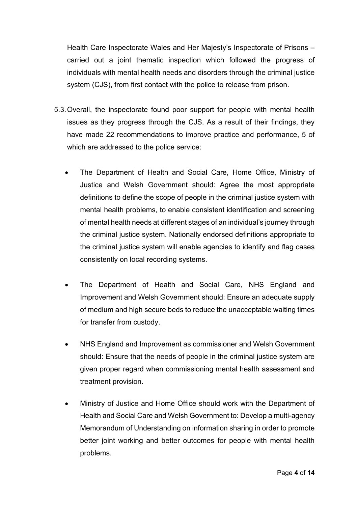Health Care Inspectorate Wales and Her Majesty's Inspectorate of Prisons – carried out a joint thematic inspection which followed the progress of individuals with mental health needs and disorders through the criminal justice system (CJS), from first contact with the police to release from prison.

- 5.3.Overall, the inspectorate found poor support for people with mental health issues as they progress through the CJS. As a result of their findings, they have made 22 recommendations to improve practice and performance, 5 of which are addressed to the police service:
	- The Department of Health and Social Care, Home Office, Ministry of Justice and Welsh Government should: Agree the most appropriate definitions to define the scope of people in the criminal justice system with mental health problems, to enable consistent identification and screening of mental health needs at different stages of an individual's journey through the criminal justice system. Nationally endorsed definitions appropriate to the criminal justice system will enable agencies to identify and flag cases consistently on local recording systems.
	- The Department of Health and Social Care, NHS England and Improvement and Welsh Government should: Ensure an adequate supply of medium and high secure beds to reduce the unacceptable waiting times for transfer from custody.
	- NHS England and Improvement as commissioner and Welsh Government should: Ensure that the needs of people in the criminal justice system are given proper regard when commissioning mental health assessment and treatment provision.
	- Ministry of Justice and Home Office should work with the Department of Health and Social Care and Welsh Government to: Develop a multi-agency Memorandum of Understanding on information sharing in order to promote better joint working and better outcomes for people with mental health problems.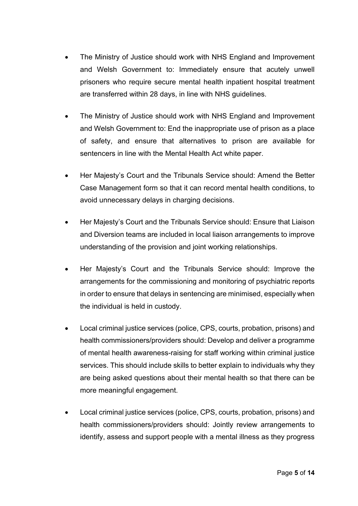- The Ministry of Justice should work with NHS England and Improvement and Welsh Government to: Immediately ensure that acutely unwell prisoners who require secure mental health inpatient hospital treatment are transferred within 28 days, in line with NHS guidelines.
- The Ministry of Justice should work with NHS England and Improvement and Welsh Government to: End the inappropriate use of prison as a place of safety, and ensure that alternatives to prison are available for sentencers in line with the Mental Health Act white paper.
- Her Majesty's Court and the Tribunals Service should: Amend the Better Case Management form so that it can record mental health conditions, to avoid unnecessary delays in charging decisions.
- Her Majesty's Court and the Tribunals Service should: Ensure that Liaison and Diversion teams are included in local liaison arrangements to improve understanding of the provision and joint working relationships.
- Her Majesty's Court and the Tribunals Service should: Improve the arrangements for the commissioning and monitoring of psychiatric reports in order to ensure that delays in sentencing are minimised, especially when the individual is held in custody.
- Local criminal justice services (police, CPS, courts, probation, prisons) and health commissioners/providers should: Develop and deliver a programme of mental health awareness-raising for staff working within criminal justice services. This should include skills to better explain to individuals why they are being asked questions about their mental health so that there can be more meaningful engagement.
- Local criminal justice services (police, CPS, courts, probation, prisons) and health commissioners/providers should: Jointly review arrangements to identify, assess and support people with a mental illness as they progress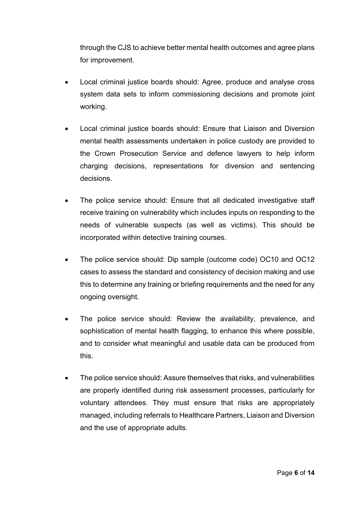through the CJS to achieve better mental health outcomes and agree plans for improvement.

- Local criminal justice boards should: Agree, produce and analyse cross system data sets to inform commissioning decisions and promote joint working.
- Local criminal justice boards should: Ensure that Liaison and Diversion mental health assessments undertaken in police custody are provided to the Crown Prosecution Service and defence lawyers to help inform charging decisions, representations for diversion and sentencing decisions.
- The police service should: Ensure that all dedicated investigative staff receive training on vulnerability which includes inputs on responding to the needs of vulnerable suspects (as well as victims). This should be incorporated within detective training courses.
- The police service should: Dip sample (outcome code) OC10 and OC12 cases to assess the standard and consistency of decision making and use this to determine any training or briefing requirements and the need for any ongoing oversight.
- The police service should: Review the availability, prevalence, and sophistication of mental health flagging, to enhance this where possible, and to consider what meaningful and usable data can be produced from this.
- The police service should: Assure themselves that risks, and vulnerabilities are properly identified during risk assessment processes, particularly for voluntary attendees. They must ensure that risks are appropriately managed, including referrals to Healthcare Partners, Liaison and Diversion and the use of appropriate adults.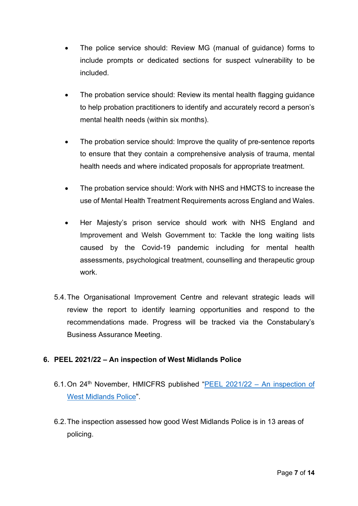- The police service should: Review MG (manual of guidance) forms to include prompts or dedicated sections for suspect vulnerability to be included.
- The probation service should: Review its mental health flagging guidance to help probation practitioners to identify and accurately record a person's mental health needs (within six months).
- The probation service should: Improve the quality of pre-sentence reports to ensure that they contain a comprehensive analysis of trauma, mental health needs and where indicated proposals for appropriate treatment.
- The probation service should: Work with NHS and HMCTS to increase the use of Mental Health Treatment Requirements across England and Wales.
- Her Majesty's prison service should work with NHS England and Improvement and Welsh Government to: Tackle the long waiting lists caused by the Covid-19 pandemic including for mental health assessments, psychological treatment, counselling and therapeutic group work.
- 5.4.The Organisational Improvement Centre and relevant strategic leads will review the report to identify learning opportunities and respond to the recommendations made. Progress will be tracked via the Constabulary's Business Assurance Meeting.

## **6. PEEL 2021/22 – An inspection of West Midlands Police**

- 6.1.On 24th November, HMICFRS published ["PEEL 2021/22 –](https://www.justiceinspectorates.gov.uk/hmicfrs/wp-content/uploads/peel-assessment-2021-22-west-midlands.pdf) An inspection of [West Midlands Police"](https://www.justiceinspectorates.gov.uk/hmicfrs/wp-content/uploads/peel-assessment-2021-22-west-midlands.pdf).
- 6.2.The inspection assessed how good West Midlands Police is in 13 areas of policing.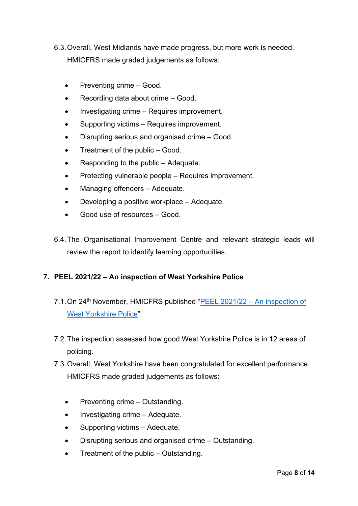- 6.3.Overall, West Midlands have made progress, but more work is needed. HMICFRS made graded judgements as follows:
	- Preventing crime Good.
	- Recording data about crime Good.
	- Investigating crime Requires improvement.
	- Supporting victims Requires improvement.
	- Disrupting serious and organised crime Good.
	- Treatment of the public Good.
	- Responding to the public Adequate.
	- Protecting vulnerable people Requires improvement.
	- Managing offenders Adequate.
	- Developing a positive workplace Adequate.
	- Good use of resources Good.
- 6.4.The Organisational Improvement Centre and relevant strategic leads will review the report to identify learning opportunities.

#### **7. PEEL 2021/22 – An inspection of West Yorkshire Police**

- 7.1. On 24<sup>th</sup> November, HMICFRS published ["PEEL 2021/22 –](https://www.justiceinspectorates.gov.uk/hmicfrs/wp-content/uploads/peel-assessment-2021-22-west-yorkshire.pdf) An inspection of [West Yorkshire Police"](https://www.justiceinspectorates.gov.uk/hmicfrs/wp-content/uploads/peel-assessment-2021-22-west-yorkshire.pdf).
- 7.2.The inspection assessed how good West Yorkshire Police is in 12 areas of policing.
- 7.3.Overall, West Yorkshire have been congratulated for excellent performance. HMICFRS made graded judgements as follows:
	- Preventing crime Outstanding.
	- Investigating crime Adequate.
	- Supporting victims Adequate.
	- Disrupting serious and organised crime Outstanding.
	- Treatment of the public Outstanding.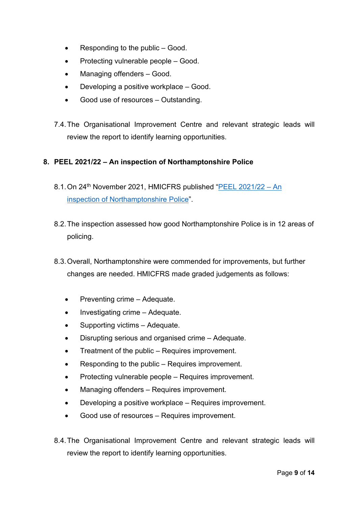- Responding to the public Good.
- Protecting vulnerable people Good.
- Managing offenders Good.
- Developing a positive workplace Good.
- Good use of resources Outstanding.
- 7.4.The Organisational Improvement Centre and relevant strategic leads will review the report to identify learning opportunities.

## **8. PEEL 2021/22 – An inspection of Northamptonshire Police**

- 8.1. On 24<sup>th</sup> November 2021, HMICFRS published "PEEL 2021/22 An [inspection of Northamptonshire Police"](https://www.justiceinspectorates.gov.uk/hmicfrs/wp-content/uploads/peel-assessment-2021-22-northamptonshire.pdf).
- 8.2.The inspection assessed how good Northamptonshire Police is in 12 areas of policing.
- 8.3.Overall, Northamptonshire were commended for improvements, but further changes are needed. HMICFRS made graded judgements as follows:
	- Preventing crime Adequate.
	- Investigating crime Adequate.
	- Supporting victims Adequate.
	- Disrupting serious and organised crime Adequate.
	- Treatment of the public Requires improvement.
	- Responding to the public Requires improvement.
	- Protecting vulnerable people Requires improvement.
	- Managing offenders Requires improvement.
	- Developing a positive workplace Requires improvement.
	- Good use of resources Requires improvement.
- 8.4.The Organisational Improvement Centre and relevant strategic leads will review the report to identify learning opportunities.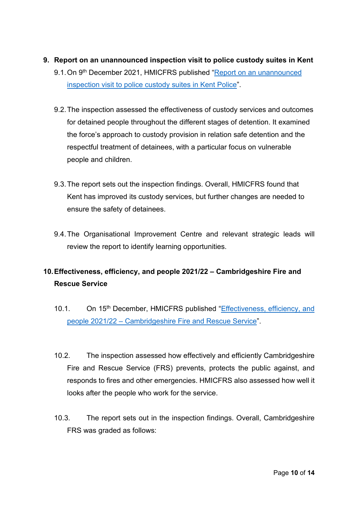- **9. Report on an unannounced inspection visit to police custody suites in Kent**
	- 9.1. On 9<sup>th</sup> December 2021, HMICFRS published "Report on an unannounced [inspection visit to police custody suites in Kent Police"](https://www.justiceinspectorates.gov.uk/hmicfrs/wp-content/uploads/report-on-an-unannounced-inspection-visit-to-police-custody-suites-in-kent-1.pdf).
	- 9.2.The inspection assessed the effectiveness of custody services and outcomes for detained people throughout the different stages of detention. It examined the force's approach to custody provision in relation safe detention and the respectful treatment of detainees, with a particular focus on vulnerable people and children.
	- 9.3.The report sets out the inspection findings. Overall, HMICFRS found that Kent has improved its custody services, but further changes are needed to ensure the safety of detainees.
	- 9.4.The Organisational Improvement Centre and relevant strategic leads will review the report to identify learning opportunities.

# **10.Effectiveness, efficiency, and people 2021/22 – Cambridgeshire Fire and Rescue Service**

- 10.1. On 15<sup>th</sup> December, HMICFRS published "Effectiveness, efficiency, and people 2021/22 – [Cambridgeshire Fire and Rescue Service"](https://www.justiceinspectorates.gov.uk/hmicfrs/wp-content/uploads/cambridgeshire-fire-and-rescue-service-report-2021-22.pdf).
- 10.2. The inspection assessed how effectively and efficiently Cambridgeshire Fire and Rescue Service (FRS) prevents, protects the public against, and responds to fires and other emergencies. HMICFRS also assessed how well it looks after the people who work for the service.
- 10.3. The report sets out in the inspection findings. Overall, Cambridgeshire FRS was graded as follows: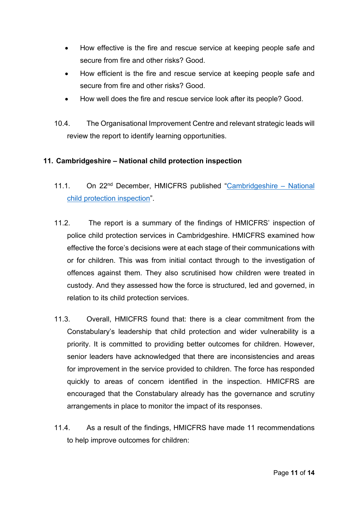- How effective is the fire and rescue service at keeping people safe and secure from fire and other risks? Good.
- How efficient is the fire and rescue service at keeping people safe and secure from fire and other risks? Good.
- How well does the fire and rescue service look after its people? Good.
- 10.4. The Organisational Improvement Centre and relevant strategic leads will review the report to identify learning opportunities.

#### **11. Cambridgeshire – National child protection inspection**

- 11.1. On 22nd December, HMICFRS published ["Cambridgeshire –](https://www.justiceinspectorates.gov.uk/hmicfrs/wp-content/uploads/cambridgeshire-national-child-protection-inspection.pdf) National [child protection inspection"](https://www.justiceinspectorates.gov.uk/hmicfrs/wp-content/uploads/cambridgeshire-national-child-protection-inspection.pdf).
- 11.2. The report is a summary of the findings of HMICFRS' inspection of police child protection services in Cambridgeshire. HMICFRS examined how effective the force's decisions were at each stage of their communications with or for children. This was from initial contact through to the investigation of offences against them. They also scrutinised how children were treated in custody. And they assessed how the force is structured, led and governed, in relation to its child protection services.
- 11.3. Overall, HMICFRS found that: there is a clear commitment from the Constabulary's leadership that child protection and wider vulnerability is a priority. It is committed to providing better outcomes for children. However, senior leaders have acknowledged that there are inconsistencies and areas for improvement in the service provided to children. The force has responded quickly to areas of concern identified in the inspection. HMICFRS are encouraged that the Constabulary already has the governance and scrutiny arrangements in place to monitor the impact of its responses.
- 11.4. As a result of the findings, HMICFRS have made 11 recommendations to help improve outcomes for children: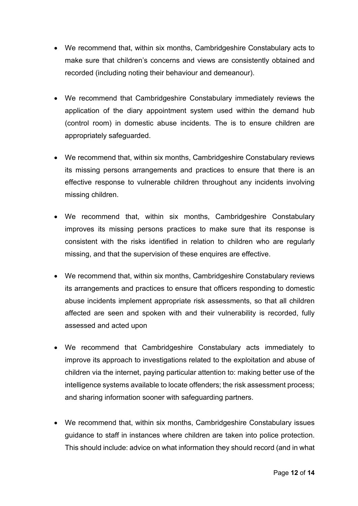- We recommend that, within six months, Cambridgeshire Constabulary acts to make sure that children's concerns and views are consistently obtained and recorded (including noting their behaviour and demeanour).
- We recommend that Cambridgeshire Constabulary immediately reviews the application of the diary appointment system used within the demand hub (control room) in domestic abuse incidents. The is to ensure children are appropriately safeguarded.
- We recommend that, within six months, Cambridgeshire Constabulary reviews its missing persons arrangements and practices to ensure that there is an effective response to vulnerable children throughout any incidents involving missing children.
- We recommend that, within six months, Cambridgeshire Constabulary improves its missing persons practices to make sure that its response is consistent with the risks identified in relation to children who are regularly missing, and that the supervision of these enquires are effective.
- We recommend that, within six months, Cambridgeshire Constabulary reviews its arrangements and practices to ensure that officers responding to domestic abuse incidents implement appropriate risk assessments, so that all children affected are seen and spoken with and their vulnerability is recorded, fully assessed and acted upon
- We recommend that Cambridgeshire Constabulary acts immediately to improve its approach to investigations related to the exploitation and abuse of children via the internet, paying particular attention to: making better use of the intelligence systems available to locate offenders; the risk assessment process; and sharing information sooner with safeguarding partners.
- We recommend that, within six months, Cambridgeshire Constabulary issues guidance to staff in instances where children are taken into police protection. This should include: advice on what information they should record (and in what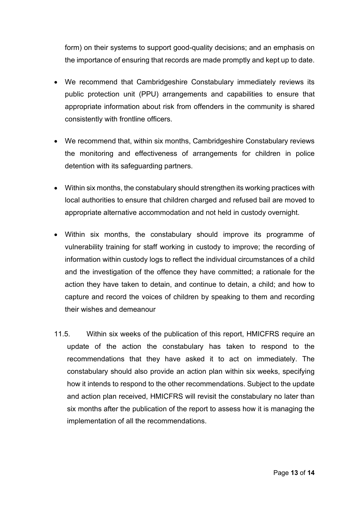form) on their systems to support good-quality decisions; and an emphasis on the importance of ensuring that records are made promptly and kept up to date.

- We recommend that Cambridgeshire Constabulary immediately reviews its public protection unit (PPU) arrangements and capabilities to ensure that appropriate information about risk from offenders in the community is shared consistently with frontline officers.
- We recommend that, within six months, Cambridgeshire Constabulary reviews the monitoring and effectiveness of arrangements for children in police detention with its safeguarding partners.
- Within six months, the constabulary should strengthen its working practices with local authorities to ensure that children charged and refused bail are moved to appropriate alternative accommodation and not held in custody overnight.
- Within six months, the constabulary should improve its programme of vulnerability training for staff working in custody to improve; the recording of information within custody logs to reflect the individual circumstances of a child and the investigation of the offence they have committed; a rationale for the action they have taken to detain, and continue to detain, a child; and how to capture and record the voices of children by speaking to them and recording their wishes and demeanour
- 11.5. Within six weeks of the publication of this report, HMICFRS require an update of the action the constabulary has taken to respond to the recommendations that they have asked it to act on immediately. The constabulary should also provide an action plan within six weeks, specifying how it intends to respond to the other recommendations. Subject to the update and action plan received, HMICFRS will revisit the constabulary no later than six months after the publication of the report to assess how it is managing the implementation of all the recommendations.